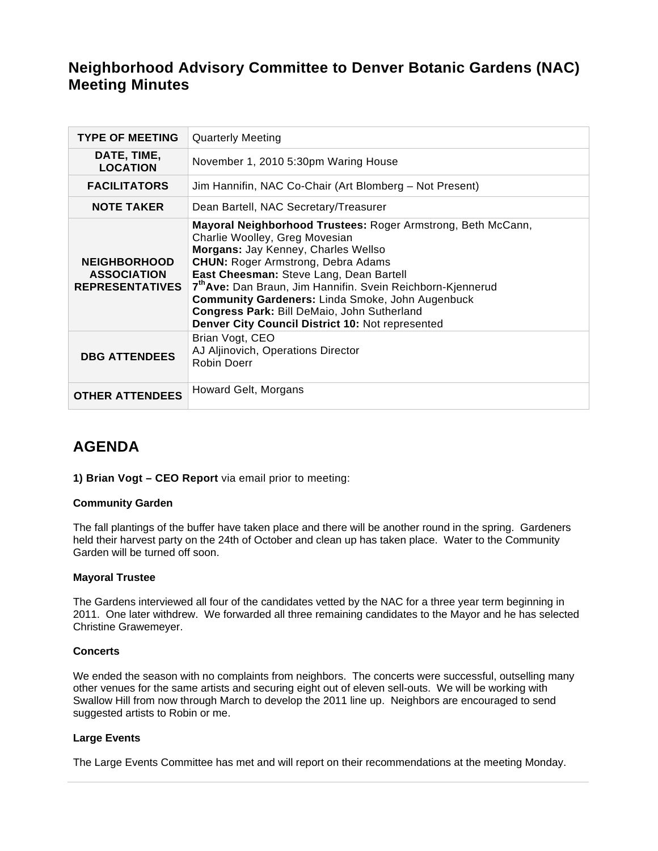# **Neighborhood Advisory Committee to Denver Botanic Gardens (NAC) Meeting Minutes**

| <b>TYPE OF MEETING</b>                                              | <b>Quarterly Meeting</b>                                                                                                                                                                                                                                                                                                                                                                                                                                               |
|---------------------------------------------------------------------|------------------------------------------------------------------------------------------------------------------------------------------------------------------------------------------------------------------------------------------------------------------------------------------------------------------------------------------------------------------------------------------------------------------------------------------------------------------------|
| DATE, TIME,<br><b>LOCATION</b>                                      | November 1, 2010 5:30pm Waring House                                                                                                                                                                                                                                                                                                                                                                                                                                   |
| <b>FACILITATORS</b>                                                 | Jim Hannifin, NAC Co-Chair (Art Blomberg – Not Present)                                                                                                                                                                                                                                                                                                                                                                                                                |
| <b>NOTE TAKER</b>                                                   | Dean Bartell, NAC Secretary/Treasurer                                                                                                                                                                                                                                                                                                                                                                                                                                  |
| <b>NEIGHBORHOOD</b><br><b>ASSOCIATION</b><br><b>REPRESENTATIVES</b> | Mayoral Neighborhood Trustees: Roger Armstrong, Beth McCann,<br>Charlie Woolley, Greg Movesian<br>Morgans: Jay Kenney, Charles Wellso<br><b>CHUN: Roger Armstrong, Debra Adams</b><br>East Cheesman: Steve Lang, Dean Bartell<br>7 <sup>th</sup> Ave: Dan Braun, Jim Hannifin. Svein Reichborn-Kjennerud<br><b>Community Gardeners: Linda Smoke, John Augenbuck</b><br>Congress Park: Bill DeMaio, John Sutherland<br>Denver City Council District 10: Not represented |
| <b>DBG ATTENDEES</b>                                                | Brian Vogt, CEO<br>AJ Aljinovich, Operations Director<br><b>Robin Doerr</b>                                                                                                                                                                                                                                                                                                                                                                                            |
| <b>OTHER ATTENDEES</b>                                              | Howard Gelt, Morgans                                                                                                                                                                                                                                                                                                                                                                                                                                                   |

# **AGENDA**

**1) Brian Vogt – CEO Report** via email prior to meeting:

#### **Community Garden**

The fall plantings of the buffer have taken place and there will be another round in the spring. Gardeners held their harvest party on the 24th of October and clean up has taken place. Water to the Community Garden will be turned off soon.

#### **Mayoral Trustee**

The Gardens interviewed all four of the candidates vetted by the NAC for a three year term beginning in 2011. One later withdrew. We forwarded all three remaining candidates to the Mayor and he has selected Christine Grawemeyer.

#### **Concerts**

We ended the season with no complaints from neighbors. The concerts were successful, outselling many other venues for the same artists and securing eight out of eleven sell-outs. We will be working with Swallow Hill from now through March to develop the 2011 line up. Neighbors are encouraged to send suggested artists to Robin or me.

# **Large Events**

The Large Events Committee has met and will report on their recommendations at the meeting Monday.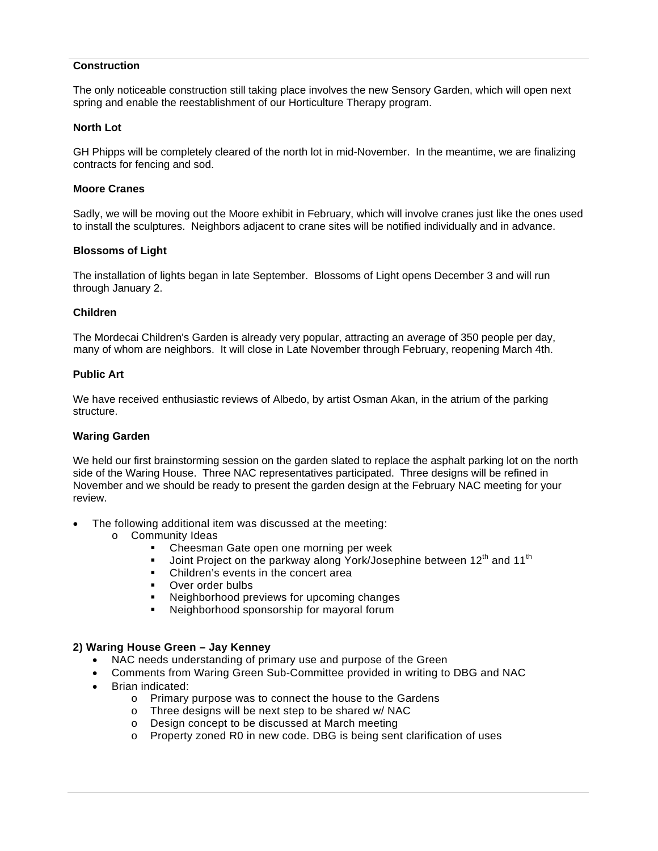## **Construction**

The only noticeable construction still taking place involves the new Sensory Garden, which will open next spring and enable the reestablishment of our Horticulture Therapy program.

#### **North Lot**

GH Phipps will be completely cleared of the north lot in mid-November. In the meantime, we are finalizing contracts for fencing and sod.

#### **Moore Cranes**

Sadly, we will be moving out the Moore exhibit in February, which will involve cranes just like the ones used to install the sculptures. Neighbors adjacent to crane sites will be notified individually and in advance.

## **Blossoms of Light**

The installation of lights began in late September. Blossoms of Light opens December 3 and will run through January 2.

## **Children**

The Mordecai Children's Garden is already very popular, attracting an average of 350 people per day, many of whom are neighbors. It will close in Late November through February, reopening March 4th.

#### **Public Art**

We have received enthusiastic reviews of Albedo, by artist Osman Akan, in the atrium of the parking structure.

#### **Waring Garden**

We held our first brainstorming session on the garden slated to replace the asphalt parking lot on the north side of the Waring House. Three NAC representatives participated. Three designs will be refined in November and we should be ready to present the garden design at the February NAC meeting for your review.

- The following additional item was discussed at the meeting:
	- o Community Ideas
		- Cheesman Gate open one morning per week
		- Joint Project on the parkway along York/Josephine between 12<sup>th</sup> and 11<sup>th</sup>
		- Children's events in the concert area
		- Over order bulbs
		- Neighborhood previews for upcoming changes
		- Neighborhood sponsorship for mayoral forum

# **2) Waring House Green – Jay Kenney**

- NAC needs understanding of primary use and purpose of the Green
- Comments from Waring Green Sub-Committee provided in writing to DBG and NAC
- Brian indicated:
	- o Primary purpose was to connect the house to the Gardens
	- o Three designs will be next step to be shared w/ NAC
	- o Design concept to be discussed at March meeting
	- o Property zoned R0 in new code. DBG is being sent clarification of uses